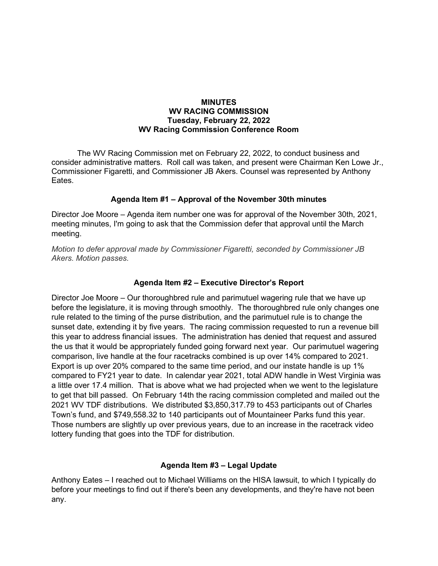#### **MINUTES** WV RACING COMMISSION Tuesday, February 22, 2022 WV Racing Commission Conference Room

The WV Racing Commission met on February 22, 2022, to conduct business and consider administrative matters. Roll call was taken, and present were Chairman Ken Lowe Jr., Commissioner Figaretti, and Commissioner JB Akers. Counsel was represented by Anthony Eates.

### Agenda Item #1 – Approval of the November 30th minutes

Director Joe Moore – Agenda item number one was for approval of the November 30th, 2021, meeting minutes, I'm going to ask that the Commission defer that approval until the March meeting.

Motion to defer approval made by Commissioner Figaretti, seconded by Commissioner JB Akers. Motion passes.

### Agenda Item #2 – Executive Director's Report

Director Joe Moore – Our thoroughbred rule and parimutuel wagering rule that we have up before the legislature, it is moving through smoothly. The thoroughbred rule only changes one rule related to the timing of the purse distribution, and the parimutuel rule is to change the sunset date, extending it by five years. The racing commission requested to run a revenue bill this year to address financial issues. The administration has denied that request and assured the us that it would be appropriately funded going forward next year. Our parimutuel wagering comparison, live handle at the four racetracks combined is up over 14% compared to 2021. Export is up over 20% compared to the same time period, and our instate handle is up 1% compared to FY21 year to date. In calendar year 2021, total ADW handle in West Virginia was a little over 17.4 million. That is above what we had projected when we went to the legislature to get that bill passed. On February 14th the racing commission completed and mailed out the 2021 WV TDF distributions. We distributed \$3,850,317.79 to 453 participants out of Charles Town's fund, and \$749,558.32 to 140 participants out of Mountaineer Parks fund this year. Those numbers are slightly up over previous years, due to an increase in the racetrack video lottery funding that goes into the TDF for distribution.

### Agenda Item #3 – Legal Update

Anthony Eates – I reached out to Michael Williams on the HISA lawsuit, to which I typically do before your meetings to find out if there's been any developments, and they're have not been any.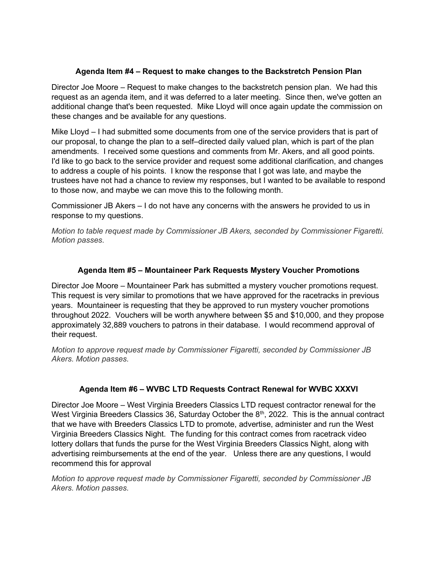#### Agenda Item #4 – Request to make changes to the Backstretch Pension Plan

Director Joe Moore – Request to make changes to the backstretch pension plan. We had this request as an agenda item, and it was deferred to a later meeting. Since then, we've gotten an additional change that's been requested. Mike Lloyd will once again update the commission on these changes and be available for any questions.

Mike Lloyd – I had submitted some documents from one of the service providers that is part of our proposal, to change the plan to a self–directed daily valued plan, which is part of the plan amendments. I received some questions and comments from Mr. Akers, and all good points. I'd like to go back to the service provider and request some additional clarification, and changes to address a couple of his points. I know the response that I got was late, and maybe the trustees have not had a chance to review my responses, but I wanted to be available to respond to those now, and maybe we can move this to the following month.

Commissioner JB Akers – I do not have any concerns with the answers he provided to us in response to my questions.

Motion to table request made by Commissioner JB Akers, seconded by Commissioner Figaretti. Motion passes.

# Agenda Item #5 – Mountaineer Park Requests Mystery Voucher Promotions

Director Joe Moore – Mountaineer Park has submitted a mystery voucher promotions request. This request is very similar to promotions that we have approved for the racetracks in previous years. Mountaineer is requesting that they be approved to run mystery voucher promotions throughout 2022. Vouchers will be worth anywhere between \$5 and \$10,000, and they propose approximately 32,889 vouchers to patrons in their database. I would recommend approval of their request.

Motion to approve request made by Commissioner Figaretti, seconded by Commissioner JB Akers. Motion passes.

### Agenda Item #6 – WVBC LTD Requests Contract Renewal for WVBC XXXVI

Director Joe Moore – West Virginia Breeders Classics LTD request contractor renewal for the West Virginia Breeders Classics 36, Saturday October the 8<sup>th</sup>, 2022. This is the annual contract that we have with Breeders Classics LTD to promote, advertise, administer and run the West Virginia Breeders Classics Night. The funding for this contract comes from racetrack video lottery dollars that funds the purse for the West Virginia Breeders Classics Night, along with advertising reimbursements at the end of the year. Unless there are any questions, I would recommend this for approval

Motion to approve request made by Commissioner Figaretti, seconded by Commissioner JB Akers. Motion passes.